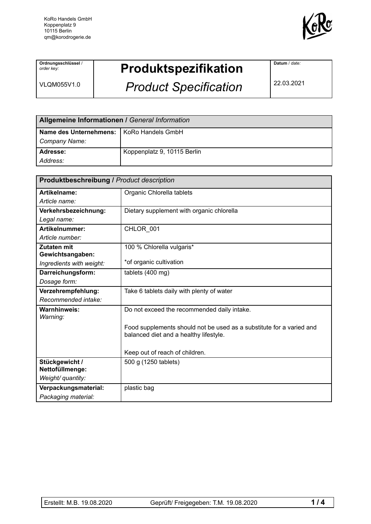

**Ordnungsschlüssel** / *order key:*

VLQM055V1.0

## **Produktspezifikation**

*Product Specification*

**Datum** / *date:*

22.03.2021

| Allgemeine Informationen / General Information |                             |  |
|------------------------------------------------|-----------------------------|--|
| Name des Unternehmens:   KoRo Handels GmbH     |                             |  |
| Company Name:                                  |                             |  |
| <b>Adresse:</b>                                | Koppenplatz 9, 10115 Berlin |  |
| l <i>Address:</i>                              |                             |  |

| <b>Produktbeschreibung / Product description</b> |                                                                                                                |  |
|--------------------------------------------------|----------------------------------------------------------------------------------------------------------------|--|
| Artikelname:                                     | Organic Chlorella tablets                                                                                      |  |
| Article name:                                    |                                                                                                                |  |
| Verkehrsbezeichnung:                             | Dietary supplement with organic chlorella                                                                      |  |
| Legal name:                                      |                                                                                                                |  |
| Artikelnummer:                                   | CHLOR_001                                                                                                      |  |
| Article number:                                  |                                                                                                                |  |
| Zutaten mit                                      | 100 % Chlorella vulgaris*                                                                                      |  |
| Gewichtsangaben:                                 |                                                                                                                |  |
| Ingredients with weight:                         | *of organic cultivation                                                                                        |  |
| Darreichungsform:                                | tablets (400 mg)                                                                                               |  |
| Dosage form:                                     |                                                                                                                |  |
| Verzehrempfehlung:                               | Take 6 tablets daily with plenty of water                                                                      |  |
| Recommended intake:                              |                                                                                                                |  |
| Warnhinweis:<br>Warning:                         | Do not exceed the recommended daily intake.                                                                    |  |
|                                                  | Food supplements should not be used as a substitute for a varied and<br>balanced diet and a healthy lifestyle. |  |
|                                                  | Keep out of reach of children.                                                                                 |  |
| Stückgewicht /                                   | 500 g (1250 tablets)                                                                                           |  |
| Nettofüllmenge:                                  |                                                                                                                |  |
| Weight/ quantity:                                |                                                                                                                |  |
| Verpackungsmaterial:                             | plastic bag                                                                                                    |  |
| Packaging material:                              |                                                                                                                |  |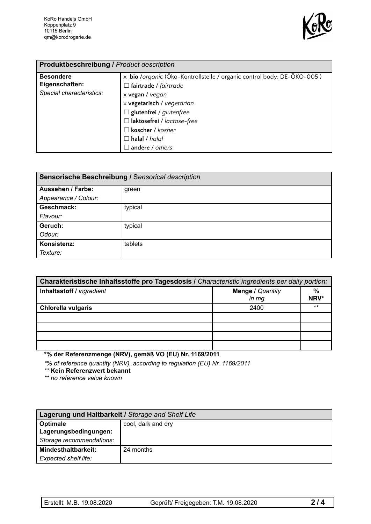

| Produktbeschreibung / Product description                      |                                                                                                                                                         |  |
|----------------------------------------------------------------|---------------------------------------------------------------------------------------------------------------------------------------------------------|--|
| <b>Besondere</b><br>Eigenschaften:<br>Special characteristics: | x bio /organic (Öko-Kontrollstelle / organic control body: DE-ÖKO-005)<br>$\Box$ fairtrade / fairtrade<br>x vegan / vegan<br>x vegetarisch / vegetarian |  |
|                                                                | $\Box$ glutenfrei / glutenfree<br>□ laktosefrei / lactose-free<br>$\Box$ koscher / kosher<br>$\Box$ halal / halal<br>$\Box$ andere / others:            |  |

| Sensorische Beschreibung / Sensorical description |         |  |
|---------------------------------------------------|---------|--|
| <b>Aussehen / Farbe:</b>                          | green   |  |
| Appearance / Colour:                              |         |  |
| Geschmack:                                        | typical |  |
| Flavour:                                          |         |  |
| Geruch:                                           | typical |  |
| Odour:                                            |         |  |
| Konsistenz:                                       | tablets |  |
| Texture:                                          |         |  |

| Charakteristische Inhaltsstoffe pro Tagesdosis I Characteristic ingredients per daily portion: |                              |       |  |
|------------------------------------------------------------------------------------------------|------------------------------|-------|--|
| Inhaltsstoff / ingredient                                                                      | <b>Menge / Quantity</b><br>% |       |  |
|                                                                                                | $in$ $mg$                    | NRV*  |  |
| <b>Chlorella vulgaris</b>                                                                      | 2400                         | $***$ |  |
|                                                                                                |                              |       |  |
|                                                                                                |                              |       |  |
|                                                                                                |                              |       |  |
|                                                                                                |                              |       |  |

**\*% der Referenzmenge (NRV), gemäß VO (EU) Nr. 1169/2011**

*\*% of reference quantity (NRV), according to regulation (EU) Nr. 1169/2011*

*\*\** **Kein Referenzwert bekannt**

*\*\* no reference value known*

| Lagerung und Haltbarkeit / Storage and Shelf Life |                    |  |
|---------------------------------------------------|--------------------|--|
| Optimale                                          | cool, dark and dry |  |
| Lagerungsbedingungen:                             |                    |  |
| Storage recommendations:                          |                    |  |
| <b>Mindesthaltbarkeit:</b>                        | 24 months          |  |
| Expected shelf life:                              |                    |  |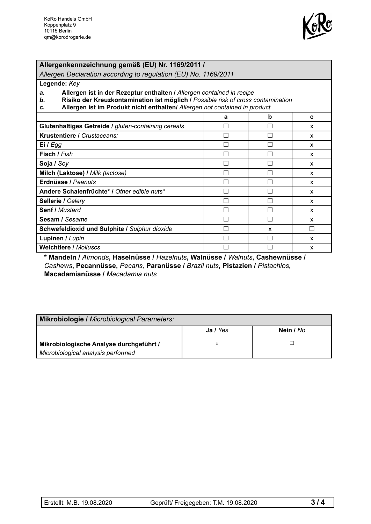

## **Allergenkennzeichnung gemäß (EU) Nr. 1169/2011 /**

*Allergen Declaration according to regulation (EU) No. 1169/2011*

**Legende:** *Key*

- *a.* **Allergen ist in der Rezeptur enthalten /** *Allergen contained in recipe*
- *b.* **Risiko der Kreuzkontamination ist möglich /** *Possible risk of cross contamination*
- *c.* **Allergen ist im Produkt nicht enthalten/** *Allergen not contained in product*

|                                                     | a | b | C |
|-----------------------------------------------------|---|---|---|
| Glutenhaltiges Getreide / gluten-containing cereals |   |   | X |
| Krustentiere / Crustaceans:                         |   |   | X |
| Ei / Egg                                            |   |   | X |
| Fisch / Fish                                        |   |   | X |
| Soja / Soy                                          |   |   | X |
| Milch (Laktose) / Milk (lactose)                    |   |   | X |
| Erdnüsse / Peanuts                                  |   |   | X |
| Andere Schalenfrüchte* / Other edible nuts*         |   |   | X |
| Sellerie / Celery                                   |   |   | X |
| <b>Senf / Mustard</b>                               |   |   | X |
| Sesam / Sesame                                      |   |   | X |
| Schwefeldioxid und Sulphite / Sulphur dioxide       |   | X |   |
| Lupinen / Lupin                                     |   |   | X |
| <b>Weichtiere / Molluscs</b>                        |   |   | x |

**\* Mandeln /** *Almonds***, Haselnüsse /** *Hazelnuts***, Walnüsse /** *Walnuts***, Cashewnüsse /** *Cashews***, Pecannüsse,** *Pecans,* **Paranüsse /** *Brazil nuts***, Pistazien /** *Pistachios***, Macadamianüsse /** *Macadamia nuts*

| Mikrobiologie / Microbiological Parameters: |          |           |  |
|---------------------------------------------|----------|-----------|--|
|                                             | Ja / Yes | Nein / No |  |
| Mikrobiologische Analyse durchgeführt /     | x        |           |  |
| Microbiological analysis performed          |          |           |  |